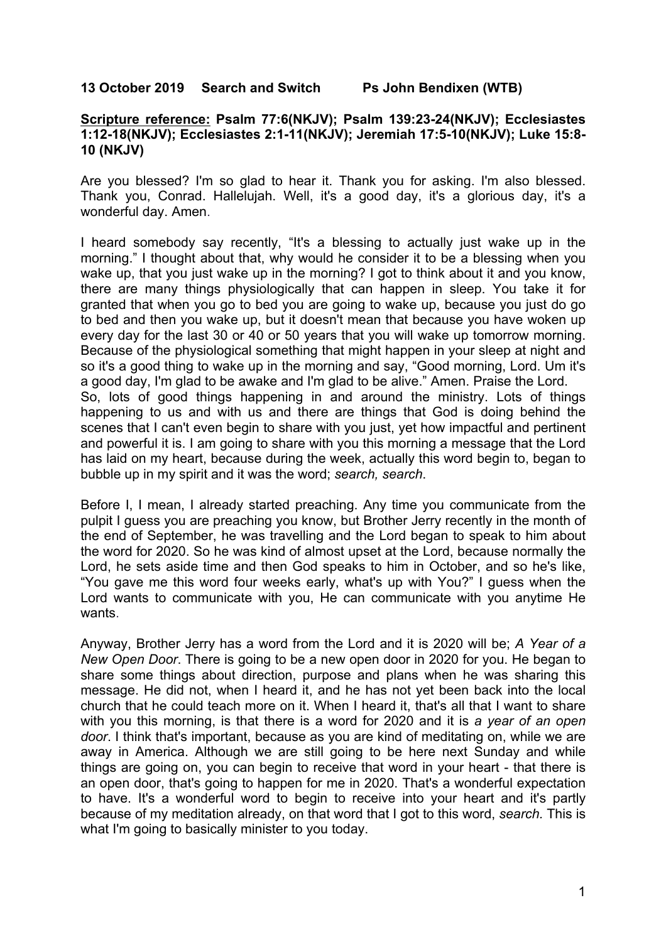## **13 October 2019 Search and Switch Ps John Bendixen (WTB)**

## **Scripture reference: Psalm 77:6(NKJV); Psalm 139:23-24(NKJV); Ecclesiastes 1:12-18(NKJV); Ecclesiastes 2:1-11(NKJV); Jeremiah 17:5-10(NKJV); Luke 15:8- 10 (NKJV)**

Are you blessed? I'm so glad to hear it. Thank you for asking. I'm also blessed. Thank you, Conrad. Hallelujah. Well, it's a good day, it's a glorious day, it's a wonderful day. Amen.

I heard somebody say recently, "It's a blessing to actually just wake up in the morning." I thought about that, why would he consider it to be a blessing when you wake up, that you just wake up in the morning? I got to think about it and you know, there are many things physiologically that can happen in sleep. You take it for granted that when you go to bed you are going to wake up, because you just do go to bed and then you wake up, but it doesn't mean that because you have woken up every day for the last 30 or 40 or 50 years that you will wake up tomorrow morning. Because of the physiological something that might happen in your sleep at night and so it's a good thing to wake up in the morning and say, "Good morning, Lord. Um it's a good day, I'm glad to be awake and I'm glad to be alive." Amen. Praise the Lord. So, lots of good things happening in and around the ministry. Lots of things happening to us and with us and there are things that God is doing behind the scenes that I can't even begin to share with you just, yet how impactful and pertinent and powerful it is. I am going to share with you this morning a message that the Lord has laid on my heart, because during the week, actually this word begin to, began to bubble up in my spirit and it was the word; *search, search*.

Before I, I mean, I already started preaching. Any time you communicate from the pulpit I guess you are preaching you know, but Brother Jerry recently in the month of the end of September, he was travelling and the Lord began to speak to him about the word for 2020. So he was kind of almost upset at the Lord, because normally the Lord, he sets aside time and then God speaks to him in October, and so he's like, "You gave me this word four weeks early, what's up with You?" I guess when the Lord wants to communicate with you, He can communicate with you anytime He wants.

Anyway, Brother Jerry has a word from the Lord and it is 2020 will be; *A Year of a New Open Door*. There is going to be a new open door in 2020 for you. He began to share some things about direction, purpose and plans when he was sharing this message. He did not, when I heard it, and he has not yet been back into the local church that he could teach more on it. When I heard it, that's all that I want to share with you this morning, is that there is a word for 2020 and it is *a year of an open door*. I think that's important, because as you are kind of meditating on, while we are away in America. Although we are still going to be here next Sunday and while things are going on, you can begin to receive that word in your heart - that there is an open door, that's going to happen for me in 2020. That's a wonderful expectation to have. It's a wonderful word to begin to receive into your heart and it's partly because of my meditation already, on that word that I got to this word, *search.* This is what I'm going to basically minister to you today.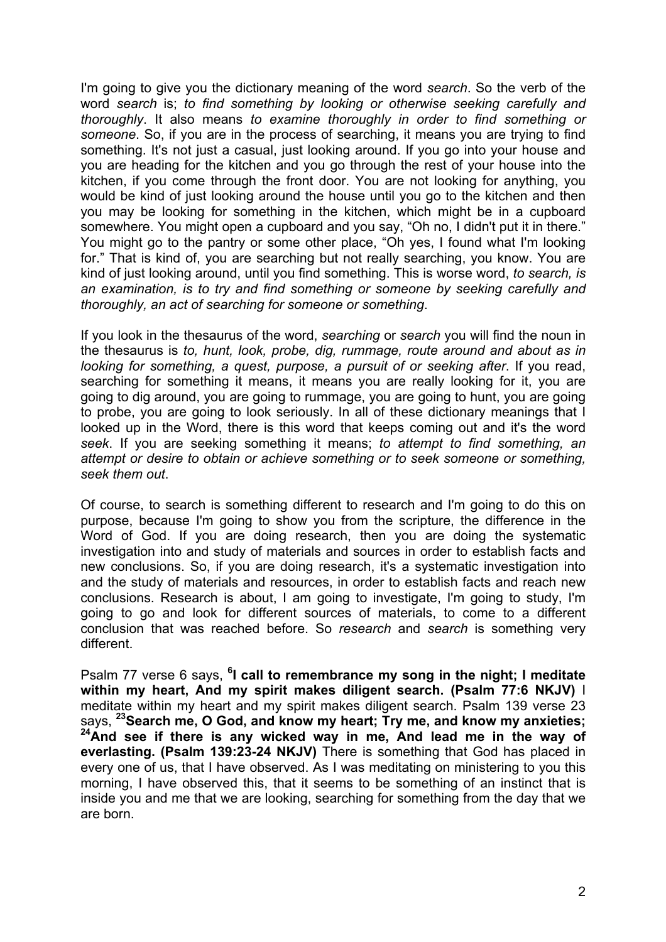I'm going to give you the dictionary meaning of the word *search*. So the verb of the word *search* is; *to find something by looking or otherwise seeking carefully and thoroughly*. It also means *to examine thoroughly in order to find something or someone*. So, if you are in the process of searching, it means you are trying to find something. It's not just a casual, just looking around. If you go into your house and you are heading for the kitchen and you go through the rest of your house into the kitchen, if you come through the front door. You are not looking for anything, you would be kind of just looking around the house until you go to the kitchen and then you may be looking for something in the kitchen, which might be in a cupboard somewhere. You might open a cupboard and you say, "Oh no, I didn't put it in there." You might go to the pantry or some other place, "Oh yes, I found what I'm looking for." That is kind of, you are searching but not really searching, you know. You are kind of just looking around, until you find something. This is worse word, *to search, is an examination, is to try and find something or someone by seeking carefully and thoroughly, an act of searching for someone or something*.

If you look in the thesaurus of the word, *searching* or *search* you will find the noun in the thesaurus is *to, hunt, look, probe, dig, rummage, route around and about as in looking for something, a quest, purpose, a pursuit of or seeking after*. If you read, searching for something it means, it means you are really looking for it, you are going to dig around, you are going to rummage, you are going to hunt, you are going to probe, you are going to look seriously. In all of these dictionary meanings that I looked up in the Word, there is this word that keeps coming out and it's the word *seek*. If you are seeking something it means; *to attempt to find something, an attempt or desire to obtain or achieve something or to seek someone or something, seek them out*.

Of course, to search is something different to research and I'm going to do this on purpose, because I'm going to show you from the scripture, the difference in the Word of God. If you are doing research, then you are doing the systematic investigation into and study of materials and sources in order to establish facts and new conclusions. So, if you are doing research, it's a systematic investigation into and the study of materials and resources, in order to establish facts and reach new conclusions. Research is about, I am going to investigate, I'm going to study, I'm going to go and look for different sources of materials, to come to a different conclusion that was reached before. So *research* and *search* is something very different.

Psalm 77 verse 6 says, <sup>6</sup>I call to remembrance my song in the night; I meditate **within my heart, And my spirit makes diligent search. (Psalm 77:6 NKJV)** I meditate within my heart and my spirit makes diligent search. Psalm 139 verse 23 says, **23Search me, O God, and know my heart; Try me, and know my anxieties; 24And see if there is any wicked way in me, And lead me in the way of everlasting. (Psalm 139:23-24 NKJV)** There is something that God has placed in every one of us, that I have observed. As I was meditating on ministering to you this morning, I have observed this, that it seems to be something of an instinct that is inside you and me that we are looking, searching for something from the day that we are born.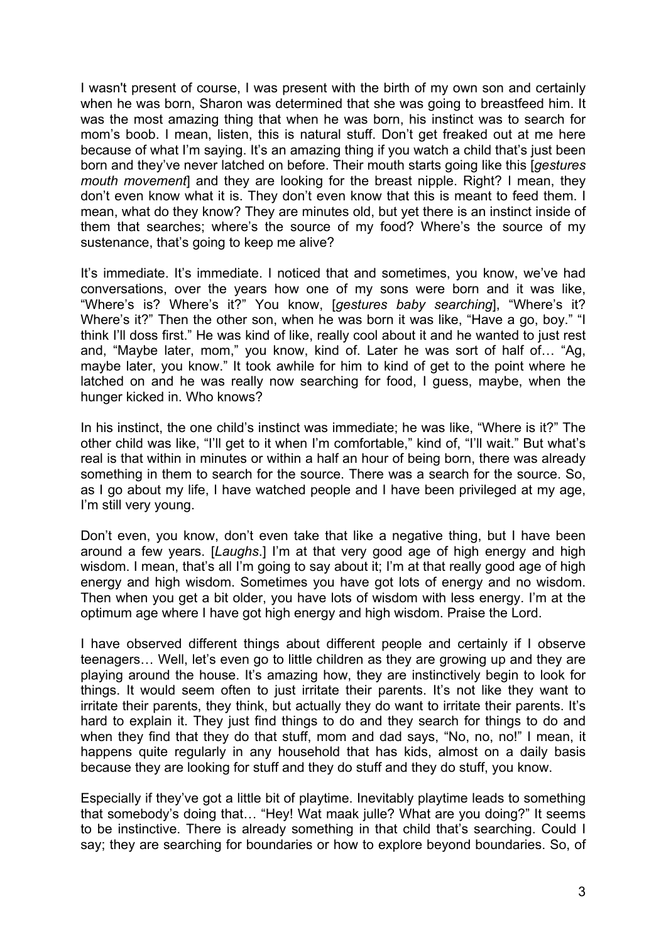I wasn't present of course, I was present with the birth of my own son and certainly when he was born, Sharon was determined that she was going to breastfeed him. It was the most amazing thing that when he was born, his instinct was to search for mom's boob. I mean, listen, this is natural stuff. Don't get freaked out at me here because of what I'm saying. It's an amazing thing if you watch a child that's just been born and they've never latched on before. Their mouth starts going like this [*gestures mouth movement*] and they are looking for the breast nipple. Right? I mean, they don't even know what it is. They don't even know that this is meant to feed them. I mean, what do they know? They are minutes old, but yet there is an instinct inside of them that searches; where's the source of my food? Where's the source of my sustenance, that's going to keep me alive?

It's immediate. It's immediate. I noticed that and sometimes, you know, we've had conversations, over the years how one of my sons were born and it was like, "Where's is? Where's it?" You know, [*gestures baby searching*], "Where's it? Where's it?" Then the other son, when he was born it was like, "Have a go, boy." "I think I'll doss first." He was kind of like, really cool about it and he wanted to just rest and, "Maybe later, mom," you know, kind of. Later he was sort of half of… "Ag, maybe later, you know." It took awhile for him to kind of get to the point where he latched on and he was really now searching for food, I guess, maybe, when the hunger kicked in. Who knows?

In his instinct, the one child's instinct was immediate; he was like, "Where is it?" The other child was like, "I'll get to it when I'm comfortable," kind of, "I'll wait." But what's real is that within in minutes or within a half an hour of being born, there was already something in them to search for the source. There was a search for the source. So, as I go about my life, I have watched people and I have been privileged at my age, I'm still very young.

Don't even, you know, don't even take that like a negative thing, but I have been around a few years. [*Laughs*.] I'm at that very good age of high energy and high wisdom. I mean, that's all I'm going to say about it; I'm at that really good age of high energy and high wisdom. Sometimes you have got lots of energy and no wisdom. Then when you get a bit older, you have lots of wisdom with less energy. I'm at the optimum age where I have got high energy and high wisdom. Praise the Lord.

I have observed different things about different people and certainly if I observe teenagers… Well, let's even go to little children as they are growing up and they are playing around the house. It's amazing how, they are instinctively begin to look for things. It would seem often to just irritate their parents. It's not like they want to irritate their parents, they think, but actually they do want to irritate their parents. It's hard to explain it. They just find things to do and they search for things to do and when they find that they do that stuff, mom and dad says, "No, no, no!" I mean, it happens quite regularly in any household that has kids, almost on a daily basis because they are looking for stuff and they do stuff and they do stuff, you know.

Especially if they've got a little bit of playtime. Inevitably playtime leads to something that somebody's doing that… "Hey! Wat maak julle? What are you doing?" It seems to be instinctive. There is already something in that child that's searching. Could I say; they are searching for boundaries or how to explore beyond boundaries. So, of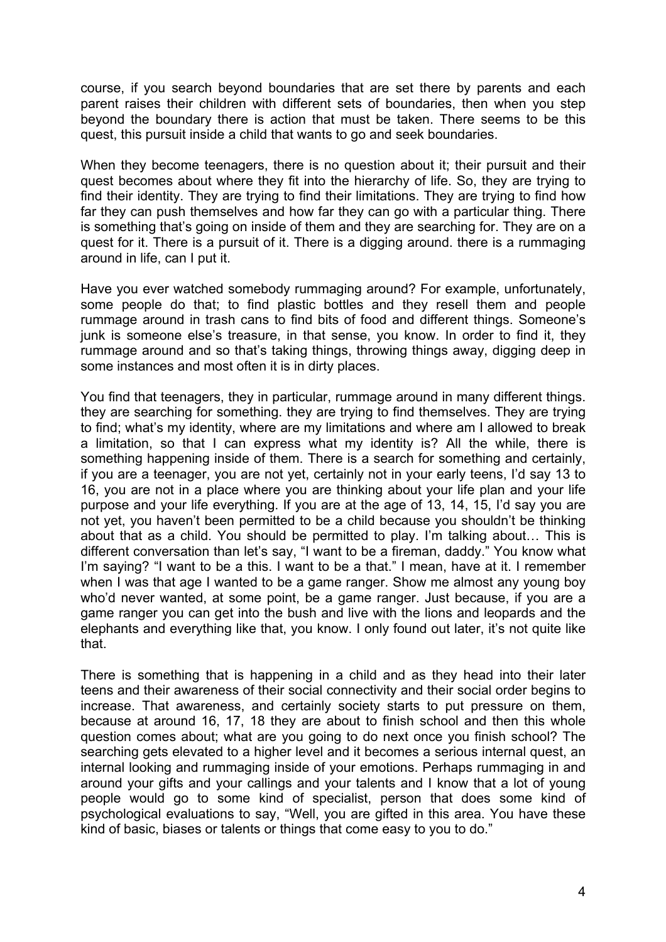course, if you search beyond boundaries that are set there by parents and each parent raises their children with different sets of boundaries, then when you step beyond the boundary there is action that must be taken. There seems to be this quest, this pursuit inside a child that wants to go and seek boundaries.

When they become teenagers, there is no question about it; their pursuit and their quest becomes about where they fit into the hierarchy of life. So, they are trying to find their identity. They are trying to find their limitations. They are trying to find how far they can push themselves and how far they can go with a particular thing. There is something that's going on inside of them and they are searching for. They are on a quest for it. There is a pursuit of it. There is a digging around. there is a rummaging around in life, can I put it.

Have you ever watched somebody rummaging around? For example, unfortunately, some people do that; to find plastic bottles and they resell them and people rummage around in trash cans to find bits of food and different things. Someone's junk is someone else's treasure, in that sense, you know. In order to find it, they rummage around and so that's taking things, throwing things away, digging deep in some instances and most often it is in dirty places.

You find that teenagers, they in particular, rummage around in many different things. they are searching for something. they are trying to find themselves. They are trying to find; what's my identity, where are my limitations and where am I allowed to break a limitation, so that I can express what my identity is? All the while, there is something happening inside of them. There is a search for something and certainly, if you are a teenager, you are not yet, certainly not in your early teens, I'd say 13 to 16, you are not in a place where you are thinking about your life plan and your life purpose and your life everything. If you are at the age of 13, 14, 15, I'd say you are not yet, you haven't been permitted to be a child because you shouldn't be thinking about that as a child. You should be permitted to play. I'm talking about… This is different conversation than let's say, "I want to be a fireman, daddy." You know what I'm saying? "I want to be a this. I want to be a that." I mean, have at it. I remember when I was that age I wanted to be a game ranger. Show me almost any young boy who'd never wanted, at some point, be a game ranger. Just because, if you are a game ranger you can get into the bush and live with the lions and leopards and the elephants and everything like that, you know. I only found out later, it's not quite like that.

There is something that is happening in a child and as they head into their later teens and their awareness of their social connectivity and their social order begins to increase. That awareness, and certainly society starts to put pressure on them, because at around 16, 17, 18 they are about to finish school and then this whole question comes about; what are you going to do next once you finish school? The searching gets elevated to a higher level and it becomes a serious internal quest, an internal looking and rummaging inside of your emotions. Perhaps rummaging in and around your gifts and your callings and your talents and I know that a lot of young people would go to some kind of specialist, person that does some kind of psychological evaluations to say, "Well, you are gifted in this area. You have these kind of basic, biases or talents or things that come easy to you to do."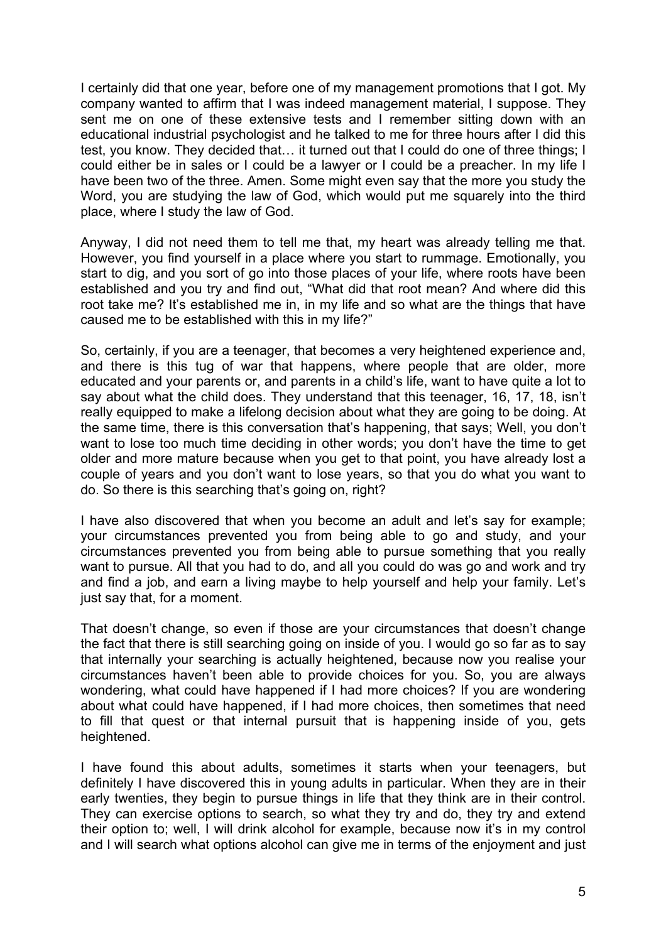I certainly did that one year, before one of my management promotions that I got. My company wanted to affirm that I was indeed management material, I suppose. They sent me on one of these extensive tests and I remember sitting down with an educational industrial psychologist and he talked to me for three hours after I did this test, you know. They decided that… it turned out that I could do one of three things; I could either be in sales or I could be a lawyer or I could be a preacher. In my life I have been two of the three. Amen. Some might even say that the more you study the Word, you are studying the law of God, which would put me squarely into the third place, where I study the law of God.

Anyway, I did not need them to tell me that, my heart was already telling me that. However, you find yourself in a place where you start to rummage. Emotionally, you start to dig, and you sort of go into those places of your life, where roots have been established and you try and find out, "What did that root mean? And where did this root take me? It's established me in, in my life and so what are the things that have caused me to be established with this in my life?"

So, certainly, if you are a teenager, that becomes a very heightened experience and, and there is this tug of war that happens, where people that are older, more educated and your parents or, and parents in a child's life, want to have quite a lot to say about what the child does. They understand that this teenager, 16, 17, 18, isn't really equipped to make a lifelong decision about what they are going to be doing. At the same time, there is this conversation that's happening, that says; Well, you don't want to lose too much time deciding in other words; you don't have the time to get older and more mature because when you get to that point, you have already lost a couple of years and you don't want to lose years, so that you do what you want to do. So there is this searching that's going on, right?

I have also discovered that when you become an adult and let's say for example; your circumstances prevented you from being able to go and study, and your circumstances prevented you from being able to pursue something that you really want to pursue. All that you had to do, and all you could do was go and work and try and find a job, and earn a living maybe to help yourself and help your family. Let's just say that, for a moment.

That doesn't change, so even if those are your circumstances that doesn't change the fact that there is still searching going on inside of you. I would go so far as to say that internally your searching is actually heightened, because now you realise your circumstances haven't been able to provide choices for you. So, you are always wondering, what could have happened if I had more choices? If you are wondering about what could have happened, if I had more choices, then sometimes that need to fill that quest or that internal pursuit that is happening inside of you, gets heightened.

I have found this about adults, sometimes it starts when your teenagers, but definitely I have discovered this in young adults in particular. When they are in their early twenties, they begin to pursue things in life that they think are in their control. They can exercise options to search, so what they try and do, they try and extend their option to; well, I will drink alcohol for example, because now it's in my control and I will search what options alcohol can give me in terms of the enjoyment and just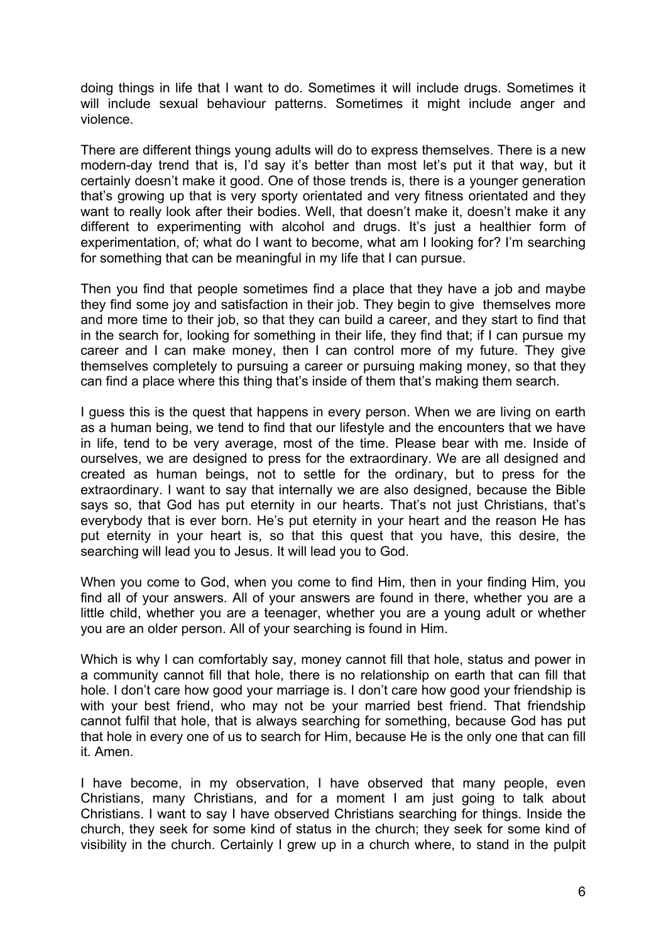doing things in life that I want to do. Sometimes it will include drugs. Sometimes it will include sexual behaviour patterns. Sometimes it might include anger and violence.

There are different things young adults will do to express themselves. There is a new modern-day trend that is, I'd say it's better than most let's put it that way, but it certainly doesn't make it good. One of those trends is, there is a younger generation that's growing up that is very sporty orientated and very fitness orientated and they want to really look after their bodies. Well, that doesn't make it, doesn't make it any different to experimenting with alcohol and drugs. It's just a healthier form of experimentation, of; what do I want to become, what am I looking for? I'm searching for something that can be meaningful in my life that I can pursue.

Then you find that people sometimes find a place that they have a job and maybe they find some joy and satisfaction in their job. They begin to give themselves more and more time to their job, so that they can build a career, and they start to find that in the search for, looking for something in their life, they find that; if I can pursue my career and I can make money, then I can control more of my future. They give themselves completely to pursuing a career or pursuing making money, so that they can find a place where this thing that's inside of them that's making them search.

I guess this is the quest that happens in every person. When we are living on earth as a human being, we tend to find that our lifestyle and the encounters that we have in life, tend to be very average, most of the time. Please bear with me. Inside of ourselves, we are designed to press for the extraordinary. We are all designed and created as human beings, not to settle for the ordinary, but to press for the extraordinary. I want to say that internally we are also designed, because the Bible says so, that God has put eternity in our hearts. That's not just Christians, that's everybody that is ever born. He's put eternity in your heart and the reason He has put eternity in your heart is, so that this quest that you have, this desire, the searching will lead you to Jesus. It will lead you to God.

When you come to God, when you come to find Him, then in your finding Him, you find all of your answers. All of your answers are found in there, whether you are a little child, whether you are a teenager, whether you are a young adult or whether you are an older person. All of your searching is found in Him.

Which is why I can comfortably say, money cannot fill that hole, status and power in a community cannot fill that hole, there is no relationship on earth that can fill that hole. I don't care how good your marriage is. I don't care how good your friendship is with your best friend, who may not be your married best friend. That friendship cannot fulfil that hole, that is always searching for something, because God has put that hole in every one of us to search for Him, because He is the only one that can fill it. Amen.

I have become, in my observation, I have observed that many people, even Christians, many Christians, and for a moment I am just going to talk about Christians. I want to say I have observed Christians searching for things. Inside the church, they seek for some kind of status in the church; they seek for some kind of visibility in the church. Certainly I grew up in a church where, to stand in the pulpit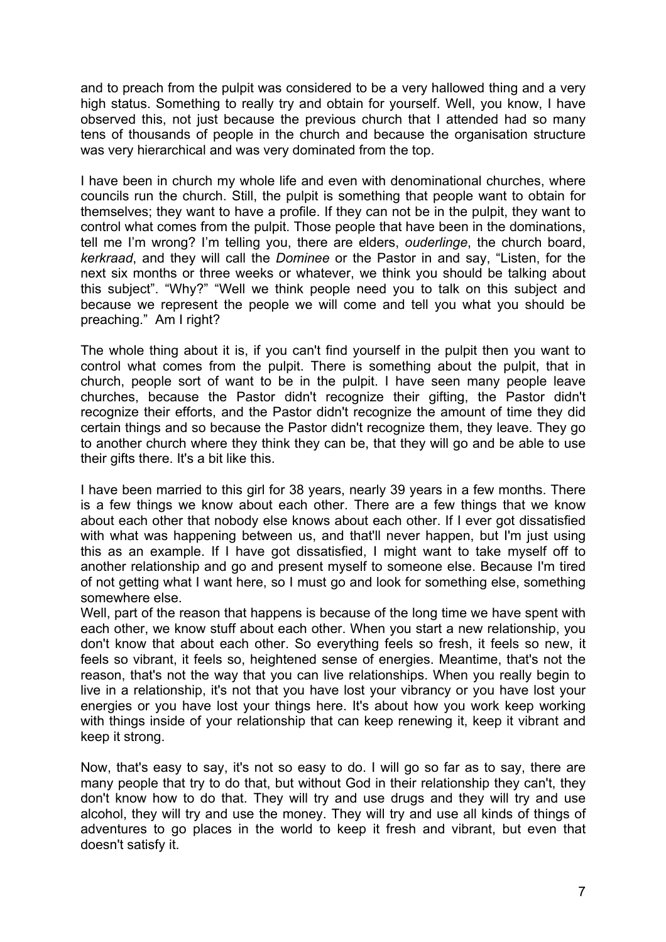and to preach from the pulpit was considered to be a very hallowed thing and a very high status. Something to really try and obtain for yourself. Well, you know, I have observed this, not just because the previous church that I attended had so many tens of thousands of people in the church and because the organisation structure was very hierarchical and was very dominated from the top.

I have been in church my whole life and even with denominational churches, where councils run the church. Still, the pulpit is something that people want to obtain for themselves; they want to have a profile. If they can not be in the pulpit, they want to control what comes from the pulpit. Those people that have been in the dominations, tell me I'm wrong? I'm telling you, there are elders, *ouderlinge*, the church board, *kerkraad*, and they will call the *Dominee* or the Pastor in and say, "Listen, for the next six months or three weeks or whatever, we think you should be talking about this subject". "Why?" "Well we think people need you to talk on this subject and because we represent the people we will come and tell you what you should be preaching." Am I right?

The whole thing about it is, if you can't find yourself in the pulpit then you want to control what comes from the pulpit. There is something about the pulpit, that in church, people sort of want to be in the pulpit. I have seen many people leave churches, because the Pastor didn't recognize their gifting, the Pastor didn't recognize their efforts, and the Pastor didn't recognize the amount of time they did certain things and so because the Pastor didn't recognize them, they leave. They go to another church where they think they can be, that they will go and be able to use their gifts there. It's a bit like this.

I have been married to this girl for 38 years, nearly 39 years in a few months. There is a few things we know about each other. There are a few things that we know about each other that nobody else knows about each other. If I ever got dissatisfied with what was happening between us, and that'll never happen, but I'm just using this as an example. If I have got dissatisfied, I might want to take myself off to another relationship and go and present myself to someone else. Because I'm tired of not getting what I want here, so I must go and look for something else, something somewhere else.

Well, part of the reason that happens is because of the long time we have spent with each other, we know stuff about each other. When you start a new relationship, you don't know that about each other. So everything feels so fresh, it feels so new, it feels so vibrant, it feels so, heightened sense of energies. Meantime, that's not the reason, that's not the way that you can live relationships. When you really begin to live in a relationship, it's not that you have lost your vibrancy or you have lost your energies or you have lost your things here. It's about how you work keep working with things inside of your relationship that can keep renewing it, keep it vibrant and keep it strong.

Now, that's easy to say, it's not so easy to do. I will go so far as to say, there are many people that try to do that, but without God in their relationship they can't, they don't know how to do that. They will try and use drugs and they will try and use alcohol, they will try and use the money. They will try and use all kinds of things of adventures to go places in the world to keep it fresh and vibrant, but even that doesn't satisfy it.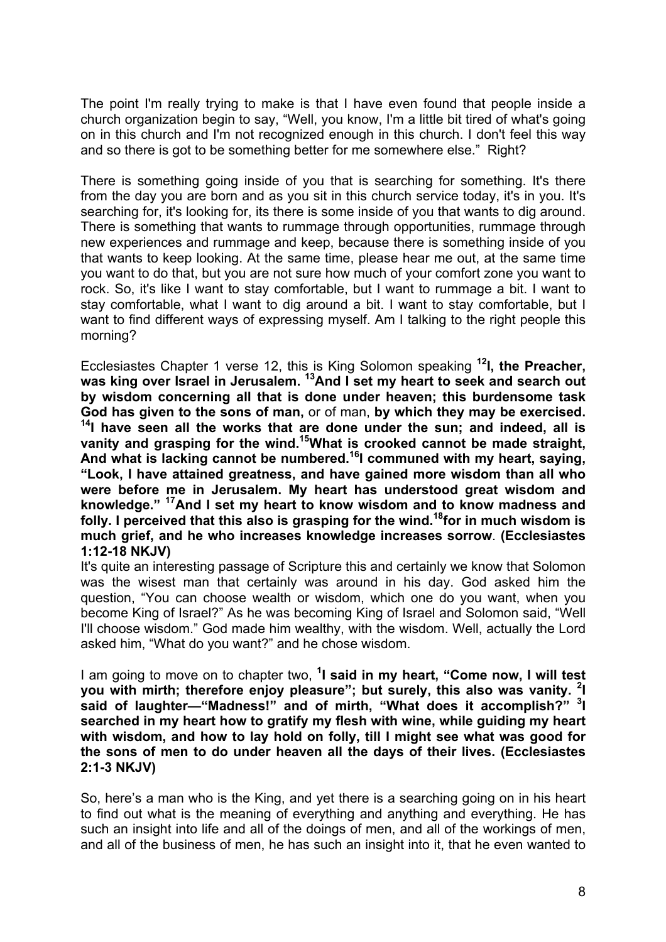The point I'm really trying to make is that I have even found that people inside a church organization begin to say, "Well, you know, I'm a little bit tired of what's going on in this church and I'm not recognized enough in this church. I don't feel this way and so there is got to be something better for me somewhere else." Right?

There is something going inside of you that is searching for something. It's there from the day you are born and as you sit in this church service today, it's in you. It's searching for, it's looking for, its there is some inside of you that wants to dig around. There is something that wants to rummage through opportunities, rummage through new experiences and rummage and keep, because there is something inside of you that wants to keep looking. At the same time, please hear me out, at the same time you want to do that, but you are not sure how much of your comfort zone you want to rock. So, it's like I want to stay comfortable, but I want to rummage a bit. I want to stay comfortable, what I want to dig around a bit. I want to stay comfortable, but I want to find different ways of expressing myself. Am I talking to the right people this morning?

Ecclesiastes Chapter 1 verse 12, this is King Solomon speaking **12I, the Preacher, was king over Israel in Jerusalem. 13And I set my heart to seek and search out by wisdom concerning all that is done under heaven; this burdensome task God has given to the sons of man,** or of man, **by which they may be exercised. 14I have seen all the works that are done under the sun; and indeed, all is vanity and grasping for the wind.15What is crooked cannot be made straight, And what is lacking cannot be numbered.16I communed with my heart, saying, "Look, I have attained greatness, and have gained more wisdom than all who were before me in Jerusalem. My heart has understood great wisdom and knowledge." 17And I set my heart to know wisdom and to know madness and folly. I perceived that this also is grasping for the wind.18for in much wisdom is much grief, and he who increases knowledge increases sorrow**. **(Ecclesiastes 1:12-18 NKJV)** 

It's quite an interesting passage of Scripture this and certainly we know that Solomon was the wisest man that certainly was around in his day. God asked him the question, "You can choose wealth or wisdom, which one do you want, when you become King of Israel?" As he was becoming King of Israel and Solomon said, "Well I'll choose wisdom." God made him wealthy, with the wisdom. Well, actually the Lord asked him, "What do you want?" and he chose wisdom.

I am going to move on to chapter two, <sup>1</sup>I said in my heart, "Come now, I will test **you with mirth; therefore enjoy pleasure"; but surely, this also was vanity. <sup>2</sup> I**  said of laughter—"Madness!" and of mirth, "What does it accomplish?" <sup>3</sup>I **searched in my heart how to gratify my flesh with wine, while guiding my heart with wisdom, and how to lay hold on folly, till I might see what was good for the sons of men to do under heaven all the days of their lives. (Ecclesiastes 2:1-3 NKJV)** 

So, here's a man who is the King, and yet there is a searching going on in his heart to find out what is the meaning of everything and anything and everything. He has such an insight into life and all of the doings of men, and all of the workings of men, and all of the business of men, he has such an insight into it, that he even wanted to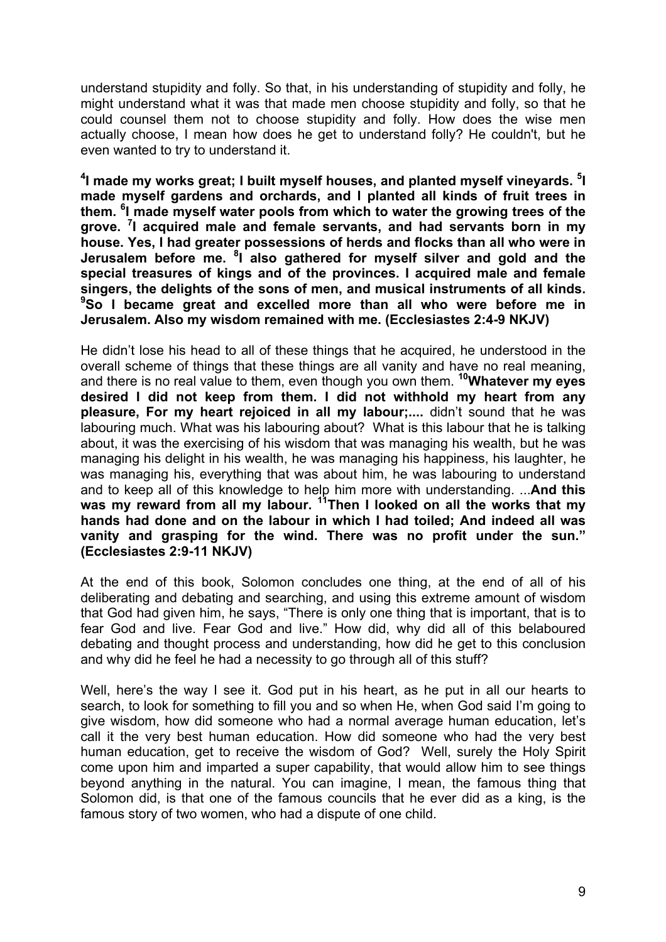understand stupidity and folly. So that, in his understanding of stupidity and folly, he might understand what it was that made men choose stupidity and folly, so that he could counsel them not to choose stupidity and folly. How does the wise men actually choose, I mean how does he get to understand folly? He couldn't, but he even wanted to try to understand it.

**4 I made my works great; I built myself houses, and planted myself vineyards. <sup>5</sup> I made myself gardens and orchards, and I planted all kinds of fruit trees in them. <sup>6</sup> I made myself water pools from which to water the growing trees of the grove. <sup>7</sup> I acquired male and female servants, and had servants born in my house. Yes, I had greater possessions of herds and flocks than all who were in Jerusalem before me. <sup>8</sup> I also gathered for myself silver and gold and the special treasures of kings and of the provinces. I acquired male and female singers, the delights of the sons of men, and musical instruments of all kinds. 9 So I became great and excelled more than all who were before me in Jerusalem. Also my wisdom remained with me. (Ecclesiastes 2:4-9 NKJV)**

He didn't lose his head to all of these things that he acquired, he understood in the overall scheme of things that these things are all vanity and have no real meaning, and there is no real value to them, even though you own them. **10Whatever my eyes desired I did not keep from them. I did not withhold my heart from any pleasure, For my heart rejoiced in all my labour;....** didn't sound that he was labouring much. What was his labouring about? What is this labour that he is talking about, it was the exercising of his wisdom that was managing his wealth, but he was managing his delight in his wealth, he was managing his happiness, his laughter, he was managing his, everything that was about him, he was labouring to understand and to keep all of this knowledge to help him more with understanding. ...**And this**  was my reward from all my labour.<sup>11</sup>Then I looked on all the works that my **hands had done and on the labour in which I had toiled; And indeed all was vanity and grasping for the wind. There was no profit under the sun." (Ecclesiastes 2:9-11 NKJV)**

At the end of this book, Solomon concludes one thing, at the end of all of his deliberating and debating and searching, and using this extreme amount of wisdom that God had given him, he says, "There is only one thing that is important, that is to fear God and live. Fear God and live." How did, why did all of this belaboured debating and thought process and understanding, how did he get to this conclusion and why did he feel he had a necessity to go through all of this stuff?

Well, here's the way I see it. God put in his heart, as he put in all our hearts to search, to look for something to fill you and so when He, when God said I'm going to give wisdom, how did someone who had a normal average human education, let's call it the very best human education. How did someone who had the very best human education, get to receive the wisdom of God? Well, surely the Holy Spirit come upon him and imparted a super capability, that would allow him to see things beyond anything in the natural. You can imagine, I mean, the famous thing that Solomon did, is that one of the famous councils that he ever did as a king, is the famous story of two women, who had a dispute of one child.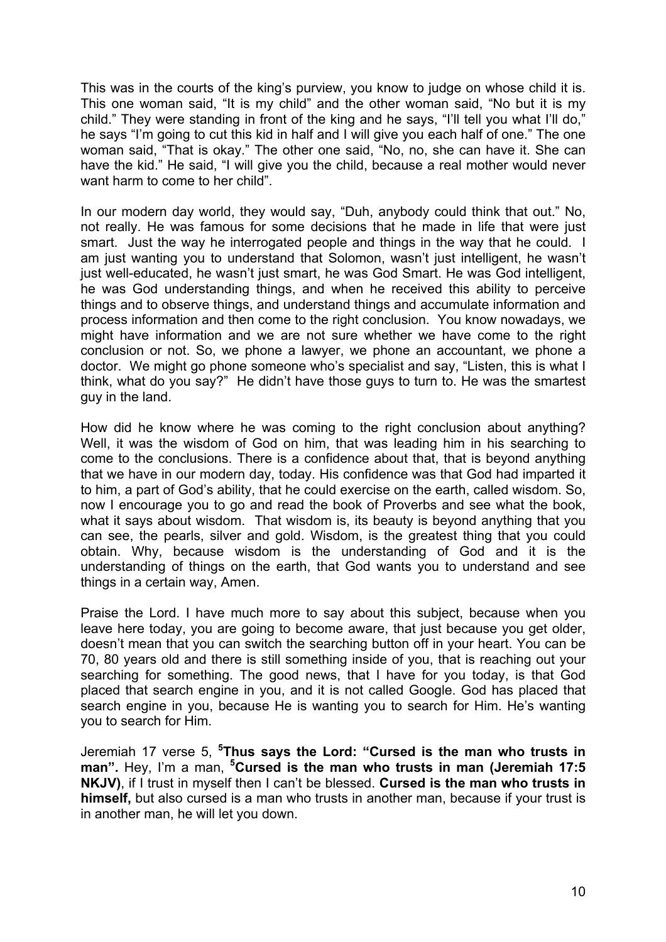This was in the courts of the king's purview, you know to judge on whose child it is. This one woman said, "It is my child" and the other woman said, "No but it is my child." They were standing in front of the king and he says, "I'll tell you what I'll do," he says "I'm going to cut this kid in half and I will give you each half of one." The one woman said, "That is okay." The other one said, "No, no, she can have it. She can have the kid." He said, "I will give you the child, because a real mother would never want harm to come to her child".

In our modern day world, they would say, "Duh, anybody could think that out." No, not really. He was famous for some decisions that he made in life that were just smart. Just the way he interrogated people and things in the way that he could. I am just wanting you to understand that Solomon, wasn't just intelligent, he wasn't just well-educated, he wasn't just smart, he was God Smart. He was God intelligent, he was God understanding things, and when he received this ability to perceive things and to observe things, and understand things and accumulate information and process information and then come to the right conclusion. You know nowadays, we might have information and we are not sure whether we have come to the right conclusion or not. So, we phone a lawyer, we phone an accountant, we phone a doctor. We might go phone someone who's specialist and say, "Listen, this is what I think, what do you say?" He didn't have those guys to turn to. He was the smartest guy in the land.

How did he know where he was coming to the right conclusion about anything? Well, it was the wisdom of God on him, that was leading him in his searching to come to the conclusions. There is a confidence about that, that is beyond anything that we have in our modern day, today. His confidence was that God had imparted it to him, a part of God's ability, that he could exercise on the earth, called wisdom. So, now I encourage you to go and read the book of Proverbs and see what the book, what it says about wisdom. That wisdom is, its beauty is beyond anything that you can see, the pearls, silver and gold. Wisdom, is the greatest thing that you could obtain. Why, because wisdom is the understanding of God and it is the understanding of things on the earth, that God wants you to understand and see things in a certain way, Amen.

Praise the Lord. I have much more to say about this subject, because when you leave here today, you are going to become aware, that just because you get older, doesn't mean that you can switch the searching button off in your heart. You can be 70, 80 years old and there is still something inside of you, that is reaching out your searching for something. The good news, that I have for you today, is that God placed that search engine in you, and it is not called Google. God has placed that search engine in you, because He is wanting you to search for Him. He's wanting you to search for Him.

Jeremiah 17 verse 5, **<sup>5</sup> Thus says the Lord: "Cursed is the man who trusts in man".** Hey, I'm a man, **<sup>5</sup> Cursed is the man who trusts in man (Jeremiah 17:5 NKJV)**, if I trust in myself then I can't be blessed. **Cursed is the man who trusts in himself,** but also cursed is a man who trusts in another man, because if your trust is in another man, he will let you down.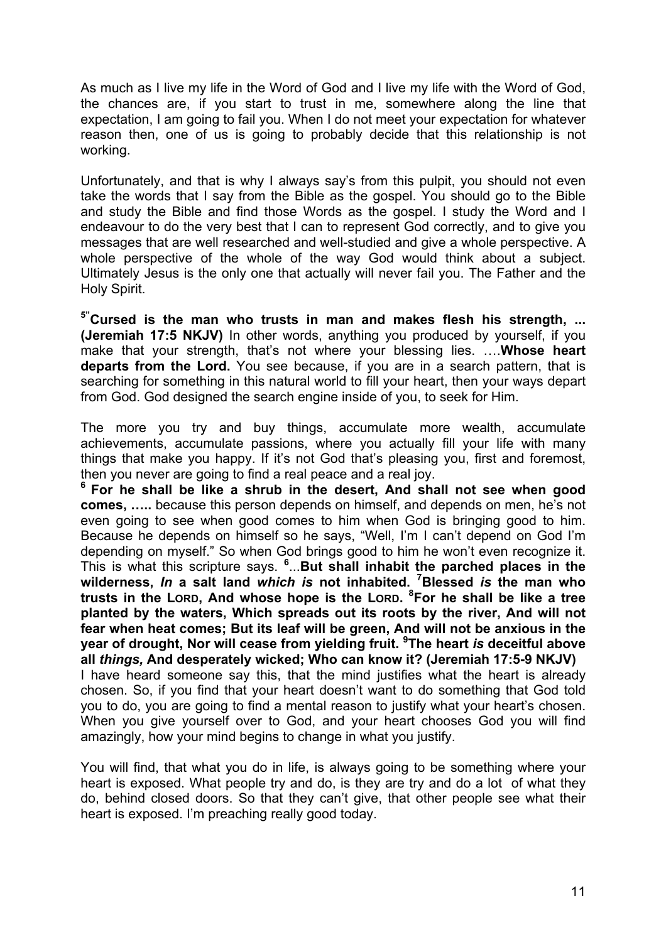As much as I live my life in the Word of God and I live my life with the Word of God, the chances are, if you start to trust in me, somewhere along the line that expectation, I am going to fail you. When I do not meet your expectation for whatever reason then, one of us is going to probably decide that this relationship is not working.

Unfortunately, and that is why I always say's from this pulpit, you should not even take the words that I say from the Bible as the gospel. You should go to the Bible and study the Bible and find those Words as the gospel. I study the Word and I endeavour to do the very best that I can to represent God correctly, and to give you messages that are well researched and well-studied and give a whole perspective. A whole perspective of the whole of the way God would think about a subject. Ultimately Jesus is the only one that actually will never fail you. The Father and the Holy Spirit.

**5"Cursed is the man who trusts in man and makes flesh his strength, ... (Jeremiah 17:5 NKJV)** In other words, anything you produced by yourself, if you make that your strength, that's not where your blessing lies. ….**Whose heart departs from the Lord.** You see because, if you are in a search pattern, that is searching for something in this natural world to fill your heart, then your ways depart from God. God designed the search engine inside of you, to seek for Him.

The more you try and buy things, accumulate more wealth, accumulate achievements, accumulate passions, where you actually fill your life with many things that make you happy. If it's not God that's pleasing you, first and foremost, then you never are going to find a real peace and a real joy.

**<sup>6</sup> For he shall be like a shrub in the desert, And shall not see when good comes, …..** because this person depends on himself, and depends on men, he's not even going to see when good comes to him when God is bringing good to him. Because he depends on himself so he says, "Well, I'm I can't depend on God I'm depending on myself." So when God brings good to him he won't even recognize it. This is what this scripture says. **<sup>6</sup>** ...**But shall inhabit the parched places in the wilderness,** *In* **a salt land** *which is* **not inhabited. <sup>7</sup> Blessed** *is* **the man who trusts in the LORD, And whose hope is the LORD. <sup>8</sup> For he shall be like a tree planted by the waters, Which spreads out its roots by the river, And will not fear when heat comes; But its leaf will be green, And will not be anxious in the year of drought, Nor will cease from yielding fruit. <sup>9</sup> The heart** *is* **deceitful above all** *things,* **And desperately wicked; Who can know it? (Jeremiah 17:5-9 NKJV)** I have heard someone say this, that the mind justifies what the heart is already chosen. So, if you find that your heart doesn't want to do something that God told you to do, you are going to find a mental reason to justify what your heart's chosen. When you give yourself over to God, and your heart chooses God you will find amazingly, how your mind begins to change in what you justify.

You will find, that what you do in life, is always going to be something where your heart is exposed. What people try and do, is they are try and do a lot of what they do, behind closed doors. So that they can't give, that other people see what their heart is exposed. I'm preaching really good today.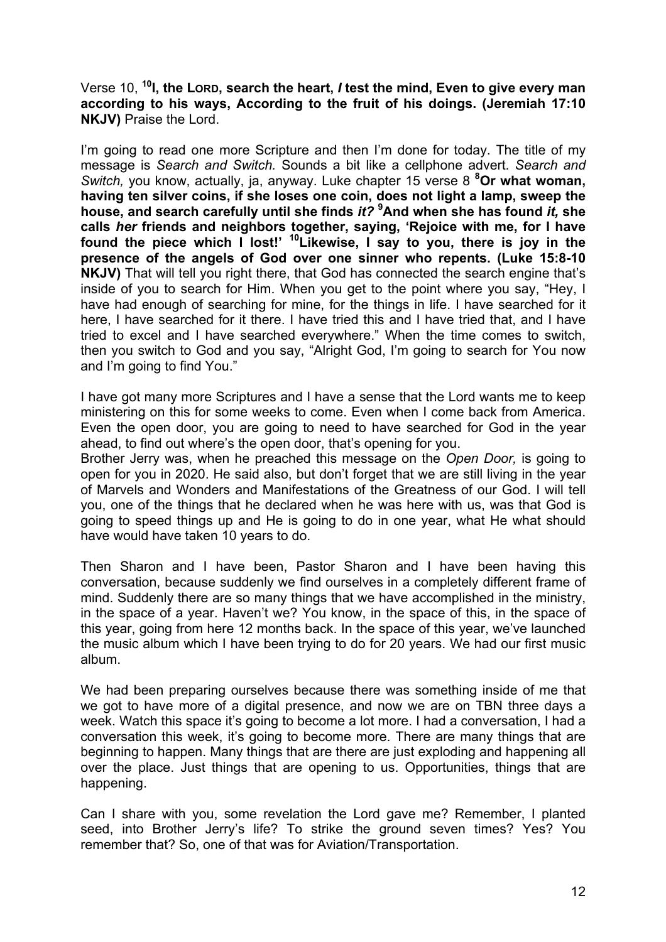Verse 10, <sup>10</sup>**I**, the Lorp, search the heart, *I* test the mind, Even to give every man **according to his ways, According to the fruit of his doings. (Jeremiah 17:10 NKJV)** Praise the Lord.

I'm going to read one more Scripture and then I'm done for today. The title of my message is *Search and Switch.* Sounds a bit like a cellphone advert. *Search and Switch,* you know, actually, ja, anyway. Luke chapter 15 verse 8 **<sup>8</sup> Or what woman, having ten silver coins, if she loses one coin, does not light a lamp, sweep the house, and search carefully until she finds** *it?* **<sup>9</sup> And when she has found** *it,* **she calls** *her* **friends and neighbors together, saying, 'Rejoice with me, for I have found the piece which I lost!' 10Likewise, I say to you, there is joy in the presence of the angels of God over one sinner who repents. (Luke 15:8-10 NKJV)** That will tell you right there, that God has connected the search engine that's inside of you to search for Him. When you get to the point where you say, "Hey, I have had enough of searching for mine, for the things in life. I have searched for it here, I have searched for it there. I have tried this and I have tried that, and I have tried to excel and I have searched everywhere." When the time comes to switch, then you switch to God and you say, "Alright God, I'm going to search for You now and I'm going to find You."

I have got many more Scriptures and I have a sense that the Lord wants me to keep ministering on this for some weeks to come. Even when I come back from America. Even the open door, you are going to need to have searched for God in the year ahead, to find out where's the open door, that's opening for you.

Brother Jerry was, when he preached this message on the *Open Door,* is going to open for you in 2020. He said also, but don't forget that we are still living in the year of Marvels and Wonders and Manifestations of the Greatness of our God. I will tell you, one of the things that he declared when he was here with us, was that God is going to speed things up and He is going to do in one year, what He what should have would have taken 10 years to do.

Then Sharon and I have been, Pastor Sharon and I have been having this conversation, because suddenly we find ourselves in a completely different frame of mind. Suddenly there are so many things that we have accomplished in the ministry, in the space of a year. Haven't we? You know, in the space of this, in the space of this year, going from here 12 months back. In the space of this year, we've launched the music album which I have been trying to do for 20 years. We had our first music album.

We had been preparing ourselves because there was something inside of me that we got to have more of a digital presence, and now we are on TBN three days a week. Watch this space it's going to become a lot more. I had a conversation, I had a conversation this week, it's going to become more. There are many things that are beginning to happen. Many things that are there are just exploding and happening all over the place. Just things that are opening to us. Opportunities, things that are happening.

Can I share with you, some revelation the Lord gave me? Remember, I planted seed, into Brother Jerry's life? To strike the ground seven times? Yes? You remember that? So, one of that was for Aviation/Transportation.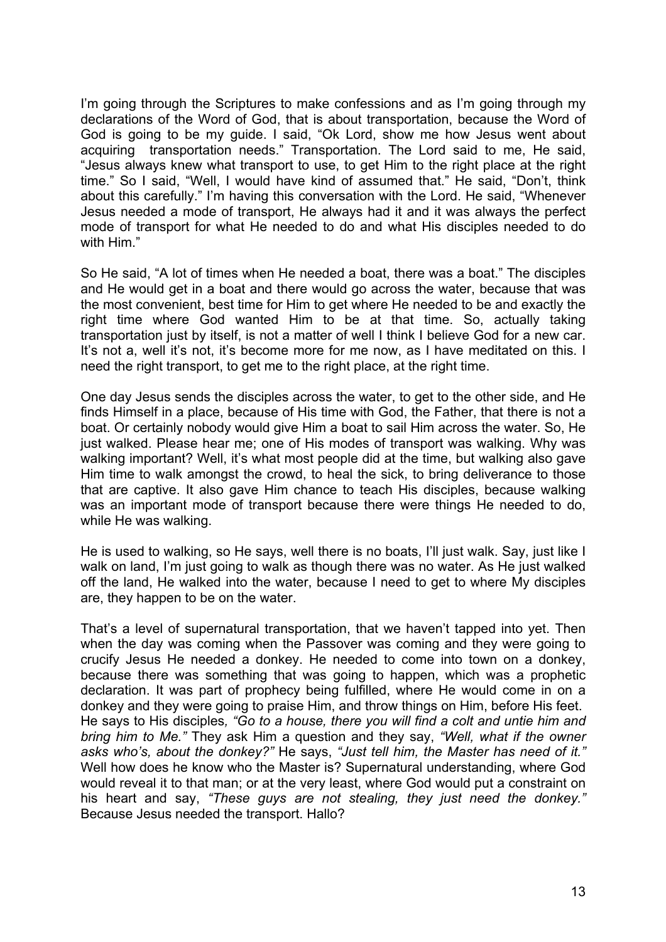I'm going through the Scriptures to make confessions and as I'm going through my declarations of the Word of God, that is about transportation, because the Word of God is going to be my guide. I said, "Ok Lord, show me how Jesus went about acquiring transportation needs." Transportation. The Lord said to me, He said, "Jesus always knew what transport to use, to get Him to the right place at the right time." So I said, "Well, I would have kind of assumed that." He said, "Don't, think about this carefully." I'm having this conversation with the Lord. He said, "Whenever Jesus needed a mode of transport, He always had it and it was always the perfect mode of transport for what He needed to do and what His disciples needed to do with Him"

So He said, "A lot of times when He needed a boat, there was a boat." The disciples and He would get in a boat and there would go across the water, because that was the most convenient, best time for Him to get where He needed to be and exactly the right time where God wanted Him to be at that time. So, actually taking transportation just by itself, is not a matter of well I think I believe God for a new car. It's not a, well it's not, it's become more for me now, as I have meditated on this. I need the right transport, to get me to the right place, at the right time.

One day Jesus sends the disciples across the water, to get to the other side, and He finds Himself in a place, because of His time with God, the Father, that there is not a boat. Or certainly nobody would give Him a boat to sail Him across the water. So, He just walked. Please hear me; one of His modes of transport was walking. Why was walking important? Well, it's what most people did at the time, but walking also gave Him time to walk amongst the crowd, to heal the sick, to bring deliverance to those that are captive. It also gave Him chance to teach His disciples, because walking was an important mode of transport because there were things He needed to do, while He was walking.

He is used to walking, so He says, well there is no boats, I'll just walk. Say, just like I walk on land, I'm just going to walk as though there was no water. As He just walked off the land, He walked into the water, because I need to get to where My disciples are, they happen to be on the water.

That's a level of supernatural transportation, that we haven't tapped into yet. Then when the day was coming when the Passover was coming and they were going to crucify Jesus He needed a donkey. He needed to come into town on a donkey, because there was something that was going to happen, which was a prophetic declaration. It was part of prophecy being fulfilled, where He would come in on a donkey and they were going to praise Him, and throw things on Him, before His feet. He says to His disciples*, "Go to a house, there you will find a colt and untie him and bring him to Me."* They ask Him a question and they say, *"Well, what if the owner asks who's, about the donkey?"* He says, *"Just tell him, the Master has need of it."* Well how does he know who the Master is? Supernatural understanding, where God would reveal it to that man; or at the very least, where God would put a constraint on his heart and say, *"These guys are not stealing, they just need the donkey."* Because Jesus needed the transport. Hallo?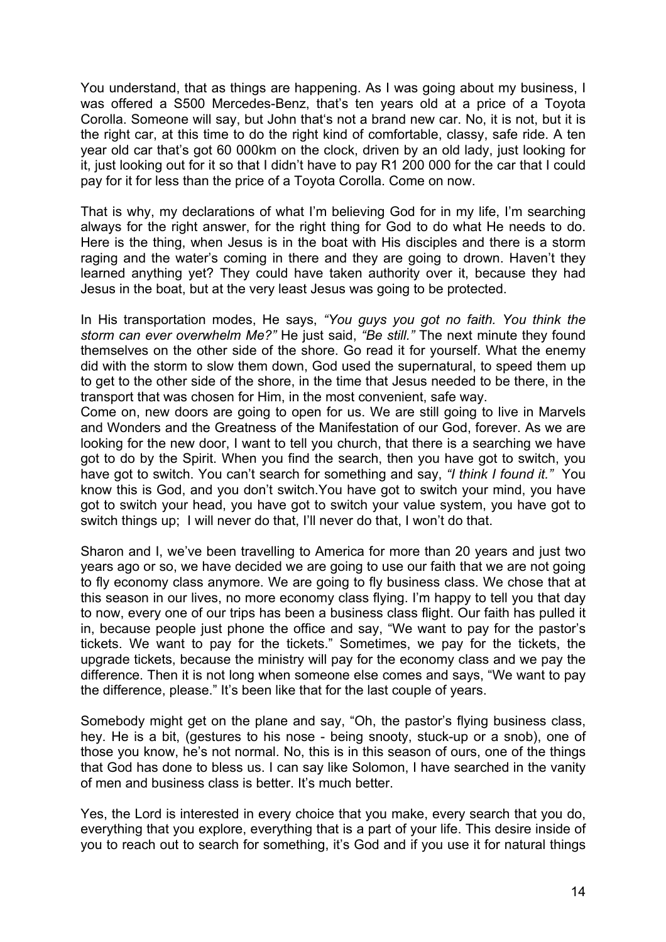You understand, that as things are happening. As I was going about my business, I was offered a S500 Mercedes-Benz, that's ten years old at a price of a Toyota Corolla. Someone will say, but John that's not a brand new car. No, it is not, but it is the right car, at this time to do the right kind of comfortable, classy, safe ride. A ten year old car that's got 60 000km on the clock, driven by an old lady, just looking for it, just looking out for it so that I didn't have to pay R1 200 000 for the car that I could pay for it for less than the price of a Toyota Corolla. Come on now.

That is why, my declarations of what I'm believing God for in my life, I'm searching always for the right answer, for the right thing for God to do what He needs to do. Here is the thing, when Jesus is in the boat with His disciples and there is a storm raging and the water's coming in there and they are going to drown. Haven't they learned anything yet? They could have taken authority over it, because they had Jesus in the boat, but at the very least Jesus was going to be protected.

In His transportation modes, He says, *"You guys you got no faith. You think the storm can ever overwhelm Me?"* He just said, *"Be still."* The next minute they found themselves on the other side of the shore. Go read it for yourself. What the enemy did with the storm to slow them down, God used the supernatural, to speed them up to get to the other side of the shore, in the time that Jesus needed to be there, in the transport that was chosen for Him, in the most convenient, safe way.

Come on, new doors are going to open for us. We are still going to live in Marvels and Wonders and the Greatness of the Manifestation of our God, forever. As we are looking for the new door, I want to tell you church, that there is a searching we have got to do by the Spirit. When you find the search, then you have got to switch, you have got to switch. You can't search for something and say, *"I think I found it."* You know this is God, and you don't switch.You have got to switch your mind, you have got to switch your head, you have got to switch your value system, you have got to switch things up; I will never do that, I'll never do that, I won't do that.

Sharon and I, we've been travelling to America for more than 20 years and just two years ago or so, we have decided we are going to use our faith that we are not going to fly economy class anymore. We are going to fly business class. We chose that at this season in our lives, no more economy class flying. I'm happy to tell you that day to now, every one of our trips has been a business class flight. Our faith has pulled it in, because people just phone the office and say, "We want to pay for the pastor's tickets. We want to pay for the tickets." Sometimes, we pay for the tickets, the upgrade tickets, because the ministry will pay for the economy class and we pay the difference. Then it is not long when someone else comes and says, "We want to pay the difference, please." It's been like that for the last couple of years.

Somebody might get on the plane and say, "Oh, the pastor's flying business class, hey. He is a bit, (gestures to his nose - being snooty, stuck-up or a snob), one of those you know, he's not normal. No, this is in this season of ours, one of the things that God has done to bless us. I can say like Solomon, I have searched in the vanity of men and business class is better. It's much better.

Yes, the Lord is interested in every choice that you make, every search that you do, everything that you explore, everything that is a part of your life. This desire inside of you to reach out to search for something, it's God and if you use it for natural things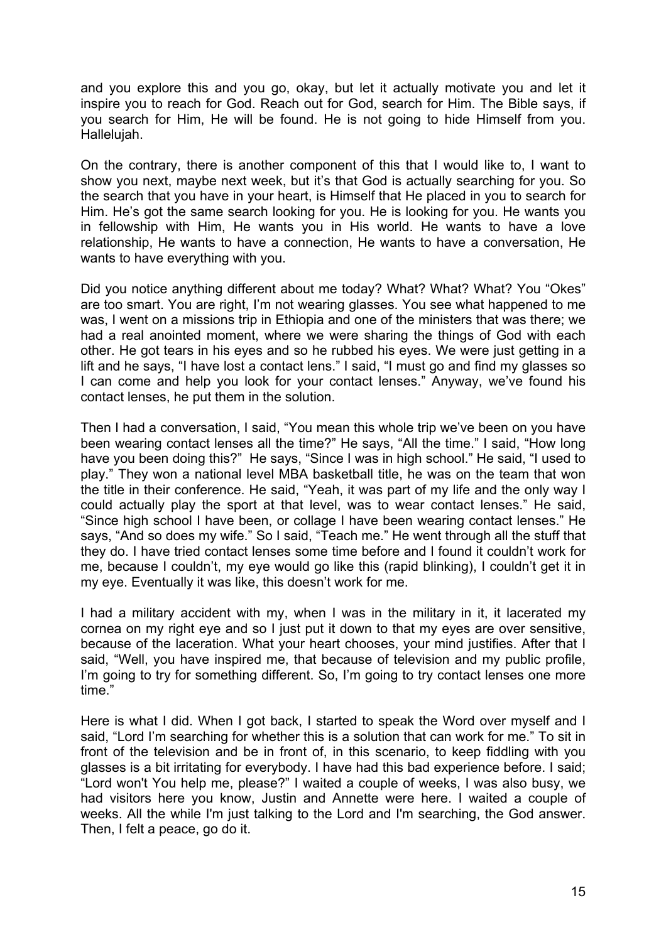and you explore this and you go, okay, but let it actually motivate you and let it inspire you to reach for God. Reach out for God, search for Him. The Bible says, if you search for Him, He will be found. He is not going to hide Himself from you. Hallelujah.

On the contrary, there is another component of this that I would like to, I want to show you next, maybe next week, but it's that God is actually searching for you. So the search that you have in your heart, is Himself that He placed in you to search for Him. He's got the same search looking for you. He is looking for you. He wants you in fellowship with Him, He wants you in His world. He wants to have a love relationship, He wants to have a connection, He wants to have a conversation, He wants to have everything with you.

Did you notice anything different about me today? What? What? What? You "Okes" are too smart. You are right, I'm not wearing glasses. You see what happened to me was, I went on a missions trip in Ethiopia and one of the ministers that was there; we had a real anointed moment, where we were sharing the things of God with each other. He got tears in his eyes and so he rubbed his eyes. We were just getting in a lift and he says, "I have lost a contact lens." I said, "I must go and find my glasses so I can come and help you look for your contact lenses." Anyway, we've found his contact lenses, he put them in the solution.

Then I had a conversation, I said, "You mean this whole trip we've been on you have been wearing contact lenses all the time?" He says, "All the time." I said, "How long have you been doing this?" He says, "Since I was in high school." He said, "I used to play." They won a national level MBA basketball title, he was on the team that won the title in their conference. He said, "Yeah, it was part of my life and the only way I could actually play the sport at that level, was to wear contact lenses." He said, "Since high school I have been, or collage I have been wearing contact lenses." He says, "And so does my wife." So I said, "Teach me." He went through all the stuff that they do. I have tried contact lenses some time before and I found it couldn't work for me, because I couldn't, my eye would go like this (rapid blinking), I couldn't get it in my eye. Eventually it was like, this doesn't work for me.

I had a military accident with my, when I was in the military in it, it lacerated my cornea on my right eye and so I just put it down to that my eyes are over sensitive, because of the laceration. What your heart chooses, your mind justifies. After that I said, "Well, you have inspired me, that because of television and my public profile, I'm going to try for something different. So, I'm going to try contact lenses one more time."

Here is what I did. When I got back, I started to speak the Word over myself and I said, "Lord I'm searching for whether this is a solution that can work for me." To sit in front of the television and be in front of, in this scenario, to keep fiddling with you glasses is a bit irritating for everybody. I have had this bad experience before. I said; "Lord won't You help me, please?" I waited a couple of weeks, I was also busy, we had visitors here you know, Justin and Annette were here. I waited a couple of weeks. All the while I'm just talking to the Lord and I'm searching, the God answer. Then, I felt a peace, go do it.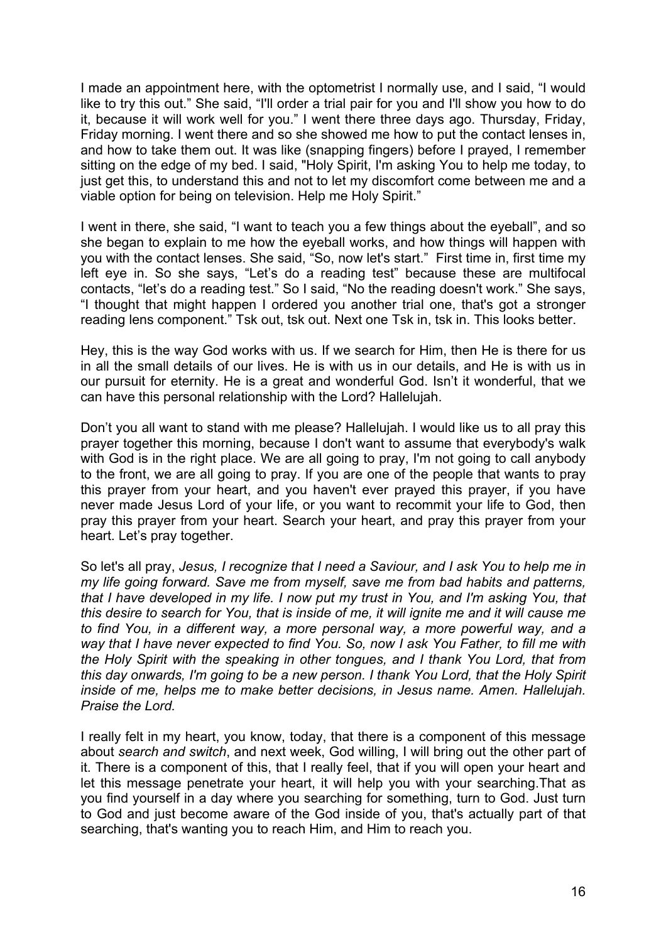I made an appointment here, with the optometrist I normally use, and I said, "I would like to try this out." She said, "I'll order a trial pair for you and I'll show you how to do it, because it will work well for you." I went there three days ago. Thursday, Friday, Friday morning. I went there and so she showed me how to put the contact lenses in, and how to take them out. It was like (snapping fingers) before I prayed, I remember sitting on the edge of my bed. I said, "Holy Spirit, I'm asking You to help me today, to just get this, to understand this and not to let my discomfort come between me and a viable option for being on television. Help me Holy Spirit."

I went in there, she said, "I want to teach you a few things about the eyeball", and so she began to explain to me how the eyeball works, and how things will happen with you with the contact lenses. She said, "So, now let's start." First time in, first time my left eye in. So she says, "Let's do a reading test" because these are multifocal contacts, "let's do a reading test." So I said, "No the reading doesn't work." She says, "I thought that might happen I ordered you another trial one, that's got a stronger reading lens component." Tsk out, tsk out. Next one Tsk in, tsk in. This looks better.

Hey, this is the way God works with us. If we search for Him, then He is there for us in all the small details of our lives. He is with us in our details, and He is with us in our pursuit for eternity. He is a great and wonderful God. Isn't it wonderful, that we can have this personal relationship with the Lord? Hallelujah.

Don't you all want to stand with me please? Hallelujah. I would like us to all pray this prayer together this morning, because I don't want to assume that everybody's walk with God is in the right place. We are all going to pray, I'm not going to call anybody to the front, we are all going to pray. If you are one of the people that wants to pray this prayer from your heart, and you haven't ever prayed this prayer, if you have never made Jesus Lord of your life, or you want to recommit your life to God, then pray this prayer from your heart. Search your heart, and pray this prayer from your heart. Let's pray together.

So let's all pray, *Jesus, I recognize that I need a Saviour, and I ask You to help me in my life going forward. Save me from myself, save me from bad habits and patterns, that I have developed in my life. I now put my trust in You, and I'm asking You, that this desire to search for You, that is inside of me, it will ignite me and it will cause me to find You, in a different way, a more personal way, a more powerful way, and a way that I have never expected to find You. So, now I ask You Father, to fill me with the Holy Spirit with the speaking in other tongues, and I thank You Lord, that from this day onwards, I'm going to be a new person. I thank You Lord, that the Holy Spirit inside of me, helps me to make better decisions, in Jesus name. Amen. Hallelujah. Praise the Lord.*

I really felt in my heart, you know, today, that there is a component of this message about *search and switch*, and next week, God willing, I will bring out the other part of it. There is a component of this, that I really feel, that if you will open your heart and let this message penetrate your heart, it will help you with your searching.That as you find yourself in a day where you searching for something, turn to God. Just turn to God and just become aware of the God inside of you, that's actually part of that searching, that's wanting you to reach Him, and Him to reach you.